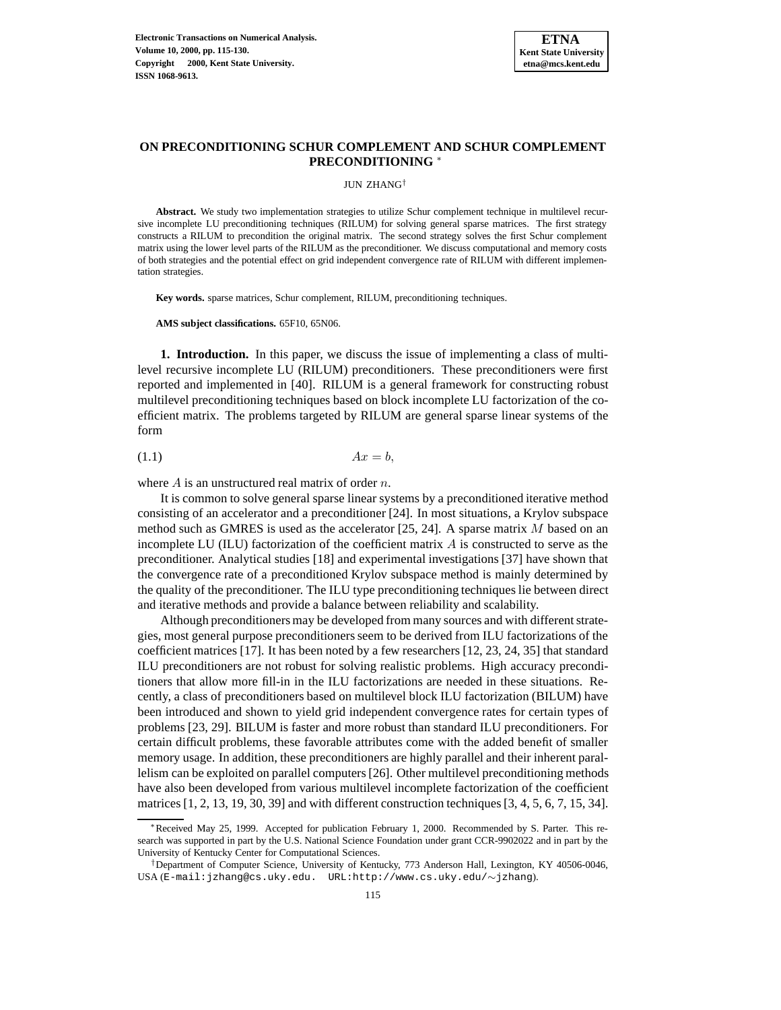

# **ON PRECONDITIONING SCHUR COMPLEMENT AND SCHUR COMPLEMENT PRECONDITIONING** <sup>∗</sup>

JUN ZHANG†

**Abstract.** We study two implementation strategies to utilize Schur complement technique in multilevel recursive incomplete LU preconditioning techniques (RILUM) for solving general sparse matrices. The first strategy constructs a RILUM to precondition the original matrix. The second strategy solves the first Schur complement matrix using the lower level parts of the RILUM as the preconditioner. We discuss computational and memory costs of both strategies and the potential effect on grid independent convergence rate of RILUM with different implementation strategies.

**Key words.** sparse matrices, Schur complement, RILUM, preconditioning techniques.

**AMS subject classifications.** 65F10, 65N06.

**1. Introduction.** In this paper, we discuss the issue of implementing a class of multilevel recursive incomplete LU (RILUM) preconditioners. These preconditioners were first reported and implemented in [40]. RILUM is a general framework for constructing robust multilevel preconditioning techniques based on block incomplete LU factorization of the coefficient matrix. The problems targeted by RILUM are general sparse linear systems of the form

$$
(1.1)\t\t\t Ax = b,
$$

where  $A$  is an unstructured real matrix of order  $n$ .

It is common to solve general sparse linear systems by a preconditioned iterative method consisting of an accelerator and a preconditioner [24]. In most situations, a Krylov subspace method such as GMRES is used as the accelerator  $[25, 24]$ . A sparse matrix M based on an incomplete LU (ILU) factorization of the coefficient matrix A is constructed to serve as the preconditioner. Analytical studies [18] and experimental investigations [37] have shown that the convergence rate of a preconditioned Krylov subspace method is mainly determined by the quality of the preconditioner. The ILU type preconditioning techniques lie between direct and iterative methods and provide a balance between reliability and scalability.

Although preconditioners may be developed from many sources and with different strategies, most general purpose preconditioners seem to be derived from ILU factorizations of the coefficient matrices [17]. It has been noted by a few researchers [12, 23, 24, 35] that standard ILU preconditioners are not robust for solving realistic problems. High accuracy preconditioners that allow more fill-in in the ILU factorizations are needed in these situations. Recently, a class of preconditioners based on multilevel block ILU factorization (BILUM) have been introduced and shown to yield grid independent convergence rates for certain types of problems [23, 29]. BILUM is faster and more robust than standard ILU preconditioners. For certain difficult problems, these favorable attributes come with the added benefit of smaller memory usage. In addition, these preconditioners are highly parallel and their inherent parallelism can be exploited on parallel computers [26]. Other multilevel preconditioning methods have also been developed from various multilevel incomplete factorization of the coefficient matrices  $[1, 2, 13, 19, 30, 39]$  and with different construction techniques  $[3, 4, 5, 6, 7, 15, 34]$ .

<sup>∗</sup>Received May 25, 1999. Accepted for publication February 1, 2000. Recommended by S. Parter. This research was supported in part by the U.S. National Science Foundation under grant CCR-9902022 and in part by the University of Kentucky Center for Computational Sciences.

<sup>†</sup>Department of Computer Science, University of Kentucky, 773 Anderson Hall, Lexington, KY 40506-0046, USA (E-mail:jzhang@cs.uky.edu. URL:http://www.cs.uky.edu/∼jzhang).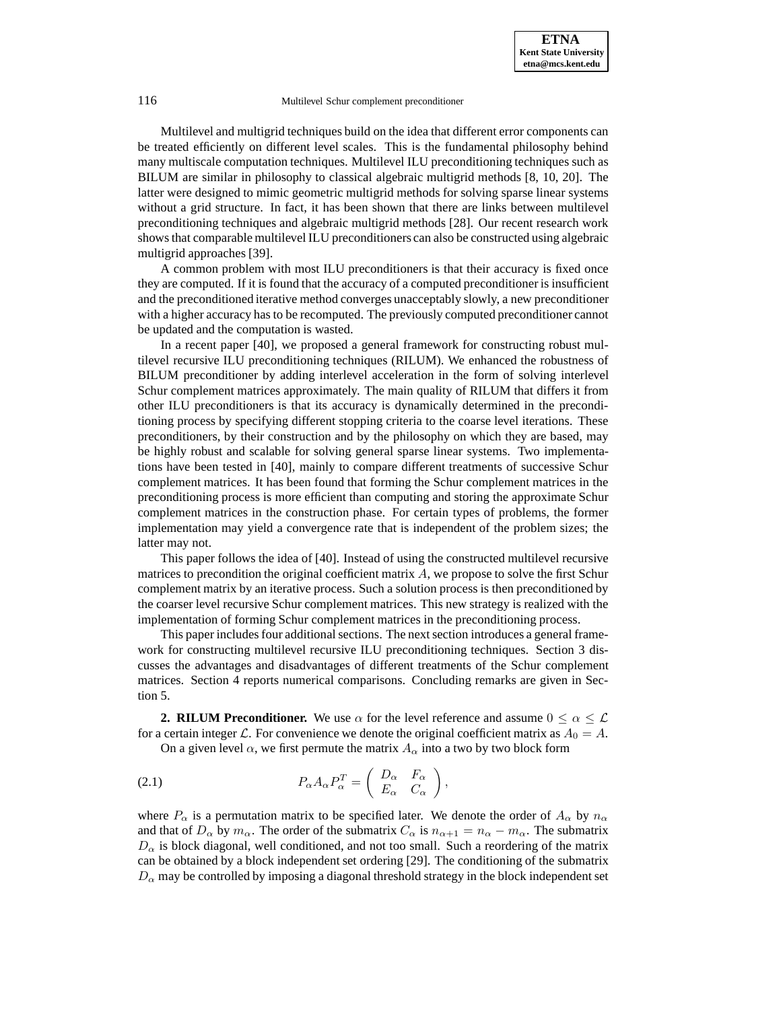Multilevel and multigrid techniques build on the idea that different error components can be treated efficiently on different level scales. This is the fundamental philosophy behind many multiscale computation techniques. Multilevel ILU preconditioning techniques such as BILUM are similar in philosophy to classical algebraic multigrid methods [8, 10, 20]. The latter were designed to mimic geometric multigrid methods for solving sparse linear systems without a grid structure. In fact, it has been shown that there are links between multilevel preconditioning techniques and algebraic multigrid methods [28]. Our recent research work shows that comparable multilevel ILU preconditioners can also be constructed using algebraic multigrid approaches [39].

A common problem with most ILU preconditioners is that their accuracy is fixed once they are computed. If it is found that the accuracy of a computed preconditioner is insufficient and the preconditioned iterative method converges unacceptably slowly, a new preconditioner with a higher accuracy has to be recomputed. The previously computed preconditioner cannot be updated and the computation is wasted.

In a recent paper [40], we proposed a general framework for constructing robust multilevel recursive ILU preconditioning techniques (RILUM). We enhanced the robustness of BILUM preconditioner by adding interlevel acceleration in the form of solving interlevel Schur complement matrices approximately. The main quality of RILUM that differs it from other ILU preconditioners is that its accuracy is dynamically determined in the preconditioning process by specifying different stopping criteria to the coarse level iterations. These preconditioners, by their construction and by the philosophy on which they are based, may be highly robust and scalable for solving general sparse linear systems. Two implementations have been tested in [40], mainly to compare different treatments of successive Schur complement matrices. It has been found that forming the Schur complement matrices in the preconditioning process is more efficient than computing and storing the approximate Schur complement matrices in the construction phase. For certain types of problems, the former implementation may yield a convergence rate that is independent of the problem sizes; the latter may not.

This paper follows the idea of [40]. Instead of using the constructed multilevel recursive matrices to precondition the original coefficient matrix A, we propose to solve the first Schur complement matrix by an iterative process. Such a solution process is then preconditioned by the coarser level recursive Schur complement matrices. This new strategy is realized with the implementation of forming Schur complement matrices in the preconditioning process.

This paper includes four additional sections. The next section introduces a general framework for constructing multilevel recursive ILU preconditioning techniques. Section 3 discusses the advantages and disadvantages of different treatments of the Schur complement matrices. Section 4 reports numerical comparisons. Concluding remarks are given in Section 5.

**2. RILUM Preconditioner.** We use  $\alpha$  for the level reference and assume  $0 \leq \alpha \leq \mathcal{L}$ for a certain integer L. For convenience we denote the original coefficient matrix as  $A_0 = A$ .

On a given level  $\alpha$ , we first permute the matrix  $A_{\alpha}$  into a two by two block form

(2.1) 
$$
P_{\alpha}A_{\alpha}P_{\alpha}^{T} = \begin{pmatrix} D_{\alpha} & F_{\alpha} \\ E_{\alpha} & C_{\alpha} \end{pmatrix},
$$

where  $P_{\alpha}$  is a permutation matrix to be specified later. We denote the order of  $A_{\alpha}$  by  $n_{\alpha}$ and that of  $D_{\alpha}$  by  $m_{\alpha}$ . The order of the submatrix  $C_{\alpha}$  is  $n_{\alpha+1} = n_{\alpha} - m_{\alpha}$ . The submatrix  $D_{\alpha}$  is block diagonal, well conditioned, and not too small. Such a reordering of the matrix can be obtained by a block independent set ordering [29]. The conditioning of the submatrix  $D_{\alpha}$  may be controlled by imposing a diagonal threshold strategy in the block independent set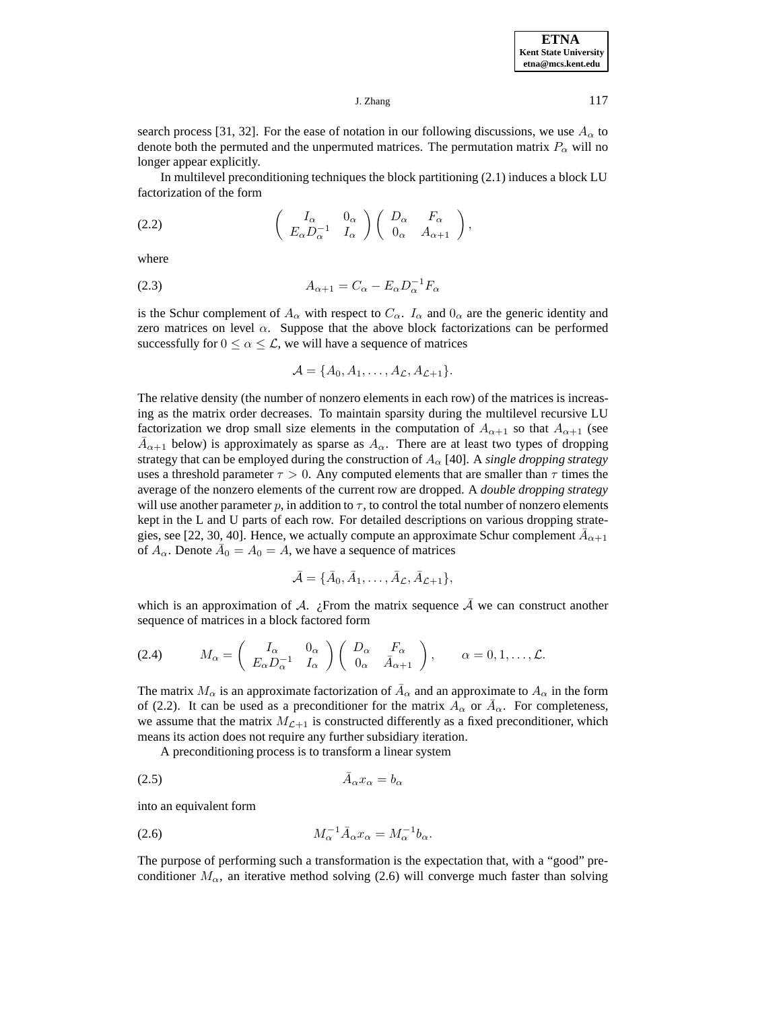search process [31, 32]. For the ease of notation in our following discussions, we use  $A_{\alpha}$  to denote both the permuted and the unpermuted matrices. The permutation matrix  $P_{\alpha}$  will no longer appear explicitly.

In multilevel preconditioning techniques the block partitioning (2.1) induces a block LU factorization of the form

(2.2) 
$$
\begin{pmatrix} I_{\alpha} & 0_{\alpha} \\ E_{\alpha} D_{\alpha}^{-1} & I_{\alpha} \end{pmatrix} \begin{pmatrix} D_{\alpha} & F_{\alpha} \\ 0_{\alpha} & A_{\alpha+1} \end{pmatrix},
$$

where

$$
(2.3) \t\t A_{\alpha+1} = C_{\alpha} - E_{\alpha} D_{\alpha}^{-1} F_{\alpha}
$$

is the Schur complement of  $A_{\alpha}$  with respect to  $C_{\alpha}$ .  $I_{\alpha}$  and  $0_{\alpha}$  are the generic identity and zero matrices on level  $\alpha$ . Suppose that the above block factorizations can be performed successfully for  $0 \le \alpha \le \mathcal{L}$ , we will have a sequence of matrices

$$
\mathcal{A} = \{A_0, A_1, \ldots, A_{\mathcal{L}}, A_{\mathcal{L}+1}\}.
$$

The relative density (the number of nonzero elements in each row) of the matrices is increasing as the matrix order decreases. To maintain sparsity during the multilevel recursive LU factorization we drop small size elements in the computation of  $A_{\alpha+1}$  so that  $A_{\alpha+1}$  (see  $A_{\alpha+1}$  below) is approximately as sparse as  $A_{\alpha}$ . There are at least two types of dropping strategy that can be employed during the construction of  $A_\alpha$  [40]. A *single dropping strategy* uses a threshold parameter  $\tau > 0$ . Any computed elements that are smaller than  $\tau$  times the average of the nonzero elements of the current row are dropped. A *double dropping strategy* will use another parameter  $p$ , in addition to  $\tau$ , to control the total number of nonzero elements kept in the L and U parts of each row. For detailed descriptions on various dropping strategies, see [22, 30, 40]. Hence, we actually compute an approximate Schur complement  $A_{\alpha+1}$ of  $A_{\alpha}$ . Denote  $\overline{A}_0 = A_0 = A$ , we have a sequence of matrices

$$
\bar{\mathcal{A}} = {\bar{A}_0, \bar{A}_1, \ldots, \bar{A}_{\mathcal{L}}, \bar{A}_{\mathcal{L}+1}},
$$

which is an approximation of A. ¿From the matrix sequence  $\overline{A}$  we can construct another sequence of matrices in a block factored form

$$
(2.4) \t M_{\alpha} = \begin{pmatrix} I_{\alpha} & 0_{\alpha} \\ E_{\alpha} D_{\alpha}^{-1} & I_{\alpha} \end{pmatrix} \begin{pmatrix} D_{\alpha} & F_{\alpha} \\ 0_{\alpha} & \bar{A}_{\alpha+1} \end{pmatrix}, \t \alpha = 0, 1, \ldots, \mathcal{L}.
$$

The matrix  $M_{\alpha}$  is an approximate factorization of  $\overline{A}_{\alpha}$  and an approximate to  $A_{\alpha}$  in the form of (2.2). It can be used as a preconditioner for the matrix  $A_{\alpha}$  or  $\overline{A}_{\alpha}$ . For completeness, we assume that the matrix  $M_{\mathcal{L}+1}$  is constructed differently as a fixed preconditioner, which means its action does not require any further subsidiary iteration.

A preconditioning process is to transform a linear system

$$
\bar{A}_{\alpha} x_{\alpha} = b_{\alpha}
$$

into an equivalent form

$$
(2.6) \t\t\t M_{\alpha}^{-1} \bar{A}_{\alpha} x_{\alpha} = M_{\alpha}^{-1} b_{\alpha}.
$$

The purpose of performing such a transformation is the expectation that, with a "good" preconditioner  $M_{\alpha}$ , an iterative method solving (2.6) will converge much faster than solving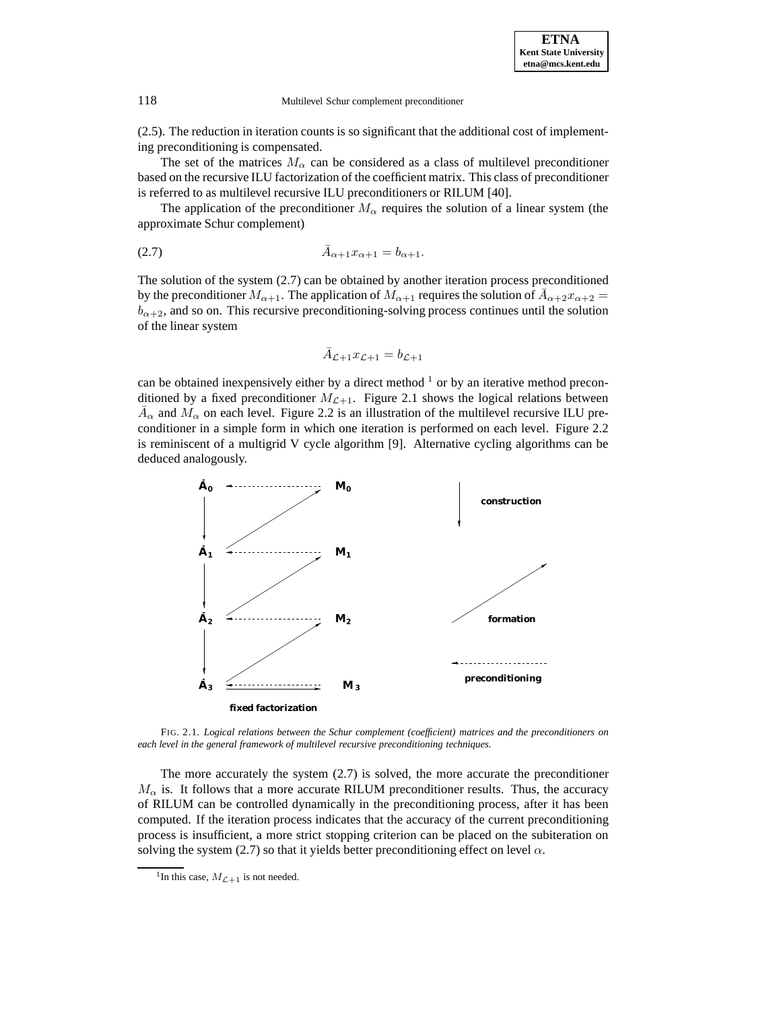(2.5). The reduction in iteration counts is so significant that the additional cost of implementing preconditioning is compensated.

The set of the matrices  $M_{\alpha}$  can be considered as a class of multilevel preconditioner based on the recursive ILU factorization of the coefficient matrix. This class of preconditioner is referred to as multilevel recursive ILU preconditioners or RILUM [40].

The application of the preconditioner  $M_{\alpha}$  requires the solution of a linear system (the approximate Schur complement)

(2.7) 
$$
\bar{A}_{\alpha+1} x_{\alpha+1} = b_{\alpha+1}.
$$

The solution of the system (2.7) can be obtained by another iteration process preconditioned by the preconditioner  $M_{\alpha+1}$ . The application of  $M_{\alpha+1}$  requires the solution of  $\bar{A}_{\alpha+2}x_{\alpha+2} =$  $b_{\alpha+2}$ , and so on. This recursive preconditioning-solving process continues until the solution of the linear system

$$
\bar{A}_{\mathcal{L}+1}x_{\mathcal{L}+1}=b_{\mathcal{L}+1}
$$

can be obtained inexpensively either by a direct method  $\frac{1}{1}$  or by an iterative method preconditioned by a fixed preconditioner  $M_{\mathcal{L}+1}$ . Figure 2.1 shows the logical relations between  $\bar{A}_{\alpha}$  and  $M_{\alpha}$  on each level. Figure 2.2 is an illustration of the multilevel recursive ILU preconditioner in a simple form in which one iteration is performed on each level. Figure 2.2 is reminiscent of a multigrid V cycle algorithm [9]. Alternative cycling algorithms can be deduced analogously.



FIG. 2.1. *Logical relations between the Schur complement (coefficient) matrices and the preconditioners on each level in the general framework of multilevel recursive preconditioning techniques.*

The more accurately the system (2.7) is solved, the more accurate the preconditioner  $M_{\alpha}$  is. It follows that a more accurate RILUM preconditioner results. Thus, the accuracy of RILUM can be controlled dynamically in the preconditioning process, after it has been computed. If the iteration process indicates that the accuracy of the current preconditioning process is insufficient, a more strict stopping criterion can be placed on the subiteration on solving the system (2.7) so that it yields better preconditioning effect on level  $\alpha$ .

<sup>&</sup>lt;sup>1</sup>In this case,  $M_{\mathcal{L}+1}$  is not needed.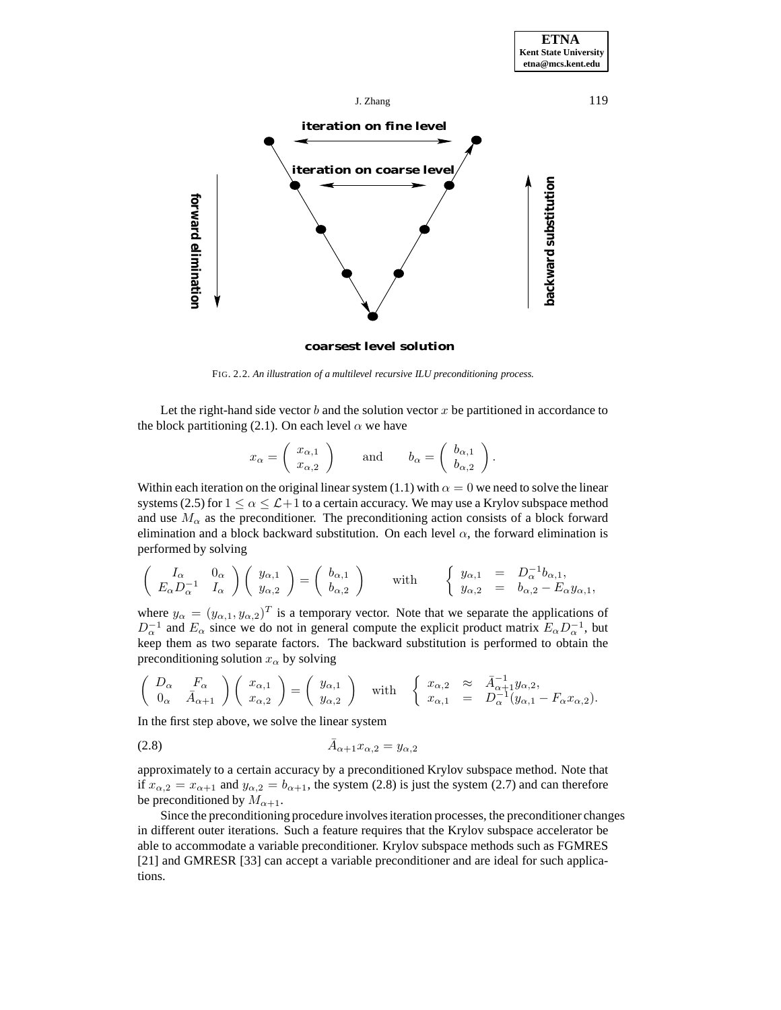

## **coarsest level solution**

FIG. 2.2. *An illustration of a multilevel recursive ILU preconditioning process.*

Let the right-hand side vector b and the solution vector x be partitioned in accordance to the block partitioning (2.1). On each level  $\alpha$  we have

$$
x_{\alpha} = \begin{pmatrix} x_{\alpha,1} \\ x_{\alpha,2} \end{pmatrix}
$$
 and  $b_{\alpha} = \begin{pmatrix} b_{\alpha,1} \\ b_{\alpha,2} \end{pmatrix}$ .

Within each iteration on the original linear system (1.1) with  $\alpha = 0$  we need to solve the linear systems (2.5) for  $1 \le \alpha \le \mathcal{L}+1$  to a certain accuracy. We may use a Krylov subspace method and use  $M_{\alpha}$  as the preconditioner. The preconditioning action consists of a block forward elimination and a block backward substitution. On each level  $\alpha$ , the forward elimination is performed by solving

$$
\begin{pmatrix} I_{\alpha} & 0_{\alpha} \\ E_{\alpha} D_{\alpha}^{-1} & I_{\alpha} \end{pmatrix} \begin{pmatrix} y_{\alpha,1} \\ y_{\alpha,2} \end{pmatrix} = \begin{pmatrix} b_{\alpha,1} \\ b_{\alpha,2} \end{pmatrix} \text{ with } \begin{cases} y_{\alpha,1} = D_{\alpha}^{-1}b_{\alpha,1}, \\ y_{\alpha,2} = b_{\alpha,2} - E_{\alpha}y_{\alpha,1}, \end{cases}
$$

where  $y_{\alpha} = (y_{\alpha,1}, y_{\alpha,2})^T$  is a temporary vector. Note that we separate the applications of  $D_{\alpha}^{-1}$  and  $E_{\alpha}$  since we do not in general compute the explicit product matrix  $E_{\alpha}D_{\alpha}^{-1}$ , but keep them as two separate factors. The backward substitution is performed to obtain the preconditioning solution  $x_\alpha$  by solving

$$
\begin{pmatrix}\nD_{\alpha} & F_{\alpha} \\
0_{\alpha} & \bar{A}_{\alpha+1}\n\end{pmatrix}\n\begin{pmatrix}\nx_{\alpha,1} \\
x_{\alpha,2}\n\end{pmatrix} =\n\begin{pmatrix}\ny_{\alpha,1} \\
y_{\alpha,2}\n\end{pmatrix}\n\text{ with }\n\begin{cases}\nx_{\alpha,2} & \approx \bar{A}_{\alpha+1}^{-1}y_{\alpha,2}, \\
x_{\alpha,1} = D_{\alpha}^{-1}(y_{\alpha,1} - F_{\alpha}x_{\alpha,2}).\n\end{cases}
$$

In the first step above, we solve the linear system

$$
\bar{A}_{\alpha+1}x_{\alpha,2} = y_{\alpha,2}
$$

approximately to a certain accuracy by a preconditioned Krylov subspace method. Note that if  $x_{\alpha,2} = x_{\alpha+1}$  and  $y_{\alpha,2} = b_{\alpha+1}$ , the system (2.8) is just the system (2.7) and can therefore be preconditioned by  $M_{\alpha+1}$ .

Since the preconditioning procedure involves iteration processes, the preconditioner changes in different outer iterations. Such a feature requires that the Krylov subspace accelerator be able to accommodate a variable preconditioner. Krylov subspace methods such as FGMRES [21] and GMRESR [33] can accept a variable preconditioner and are ideal for such applications.

**ETNA Kent State University**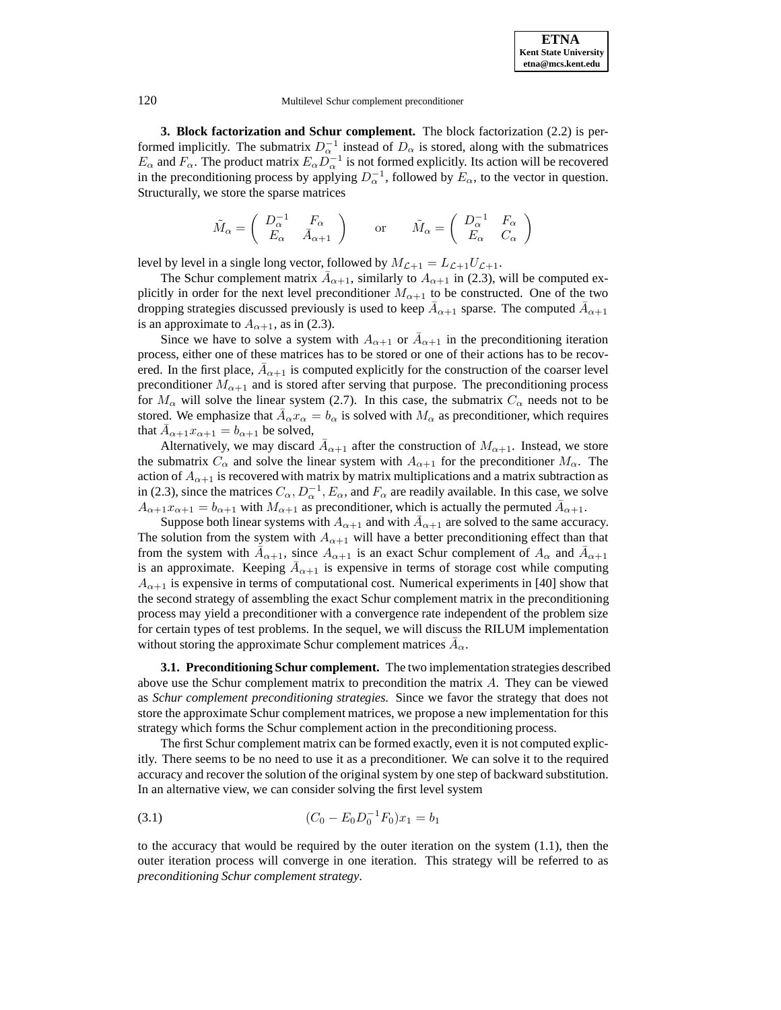**3. Block factorization and Schur complement.** The block factorization (2.2) is performed implicitly. The submatrix  $D_{\alpha}^{-1}$  instead of  $D_{\alpha}$  is stored, along with the submatrices  $E_{\alpha}$  and  $F_{\alpha}$ . The product matrix  $E_{\alpha}D_{\alpha}^{-1}$  is not formed explicitly. Its action will be recovered in the preconditioning process by applying  $D_{\alpha}^{-1}$ , followed by  $E_{\alpha}$ , to the vector in question. Structurally, we store the sparse matrices

$$
\tilde{M}_{\alpha} = \begin{pmatrix} D_{\alpha}^{-1} & F_{\alpha} \\ E_{\alpha} & \bar{A}_{\alpha+1} \end{pmatrix} \quad \text{or} \quad \tilde{M}_{\alpha} = \begin{pmatrix} D_{\alpha}^{-1} & F_{\alpha} \\ E_{\alpha} & C_{\alpha} \end{pmatrix}
$$

level by level in a single long vector, followed by  $M_{\mathcal{L}+1} = L_{\mathcal{L}+1}U_{\mathcal{L}+1}$ .

The Schur complement matrix  $\bar{A}_{\alpha+1}$ , similarly to  $A_{\alpha+1}$  in (2.3), will be computed explicitly in order for the next level preconditioner  $M_{\alpha+1}$  to be constructed. One of the two dropping strategies discussed previously is used to keep  $\bar{A}_{\alpha+1}$  sparse. The computed  $\bar{A}_{\alpha+1}$ is an approximate to  $A_{\alpha+1}$ , as in (2.3).

Since we have to solve a system with  $A_{\alpha+1}$  or  $\bar{A}_{\alpha+1}$  in the preconditioning iteration process, either one of these matrices has to be stored or one of their actions has to be recovered. In the first place,  $\bar{A}_{\alpha+1}$  is computed explicitly for the construction of the coarser level preconditioner  $M_{\alpha+1}$  and is stored after serving that purpose. The preconditioning process for  $M_{\alpha}$  will solve the linear system (2.7). In this case, the submatrix  $C_{\alpha}$  needs not to be stored. We emphasize that  $\bar{A}_{\alpha}x_{\alpha} = b_{\alpha}$  is solved with  $M_{\alpha}$  as preconditioner, which requires that  $A_{\alpha+1}x_{\alpha+1} = b_{\alpha+1}$  be solved,

Alternatively, we may discard  $\bar{A}_{\alpha+1}$  after the construction of  $M_{\alpha+1}$ . Instead, we store the submatrix  $C_{\alpha}$  and solve the linear system with  $A_{\alpha+1}$  for the preconditioner  $M_{\alpha}$ . The action of  $A_{\alpha+1}$  is recovered with matrix by matrix multiplications and a matrix subtraction as in (2.3), since the matrices  $C_{\alpha}$ ,  $D_{\alpha}^{-1}$ ,  $E_{\alpha}$ , and  $F_{\alpha}$  are readily available. In this case, we solve  $A_{\alpha+1}x_{\alpha+1} = b_{\alpha+1}$  with  $M_{\alpha+1}$  as preconditioner, which is actually the permuted  $A_{\alpha+1}$ .

Suppose both linear systems with  $A_{\alpha+1}$  and with  $A_{\alpha+1}$  are solved to the same accuracy. The solution from the system with  $A_{\alpha+1}$  will have a better preconditioning effect than that from the system with  $\bar{A}_{\alpha+1}$ , since  $A_{\alpha+1}$  is an exact Schur complement of  $A_{\alpha}$  and  $\bar{A}_{\alpha+1}$ is an approximate. Keeping  $A_{\alpha+1}$  is expensive in terms of storage cost while computing  $A_{\alpha+1}$  is expensive in terms of computational cost. Numerical experiments in [40] show that the second strategy of assembling the exact Schur complement matrix in the preconditioning process may yield a preconditioner with a convergence rate independent of the problem size for certain types of test problems. In the sequel, we will discuss the RILUM implementation without storing the approximate Schur complement matrices  $A_{\alpha}$ .

**3.1. Preconditioning Schur complement.** The two implementation strategies described above use the Schur complement matrix to precondition the matrix  $A$ . They can be viewed as *Schur complement preconditioning strategies*. Since we favor the strategy that does not store the approximate Schur complement matrices, we propose a new implementation for this strategy which forms the Schur complement action in the preconditioning process.

The first Schur complement matrix can be formed exactly, even it is not computed explicitly. There seems to be no need to use it as a preconditioner. We can solve it to the required accuracy and recover the solution of the original system by one step of backward substitution. In an alternative view, we can consider solving the first level system

(3.1) 
$$
(C_0 - E_0 D_0^{-1} F_0) x_1 = b_1
$$

to the accuracy that would be required by the outer iteration on the system (1.1), then the outer iteration process will converge in one iteration. This strategy will be referred to as *preconditioning Schur complement strategy*.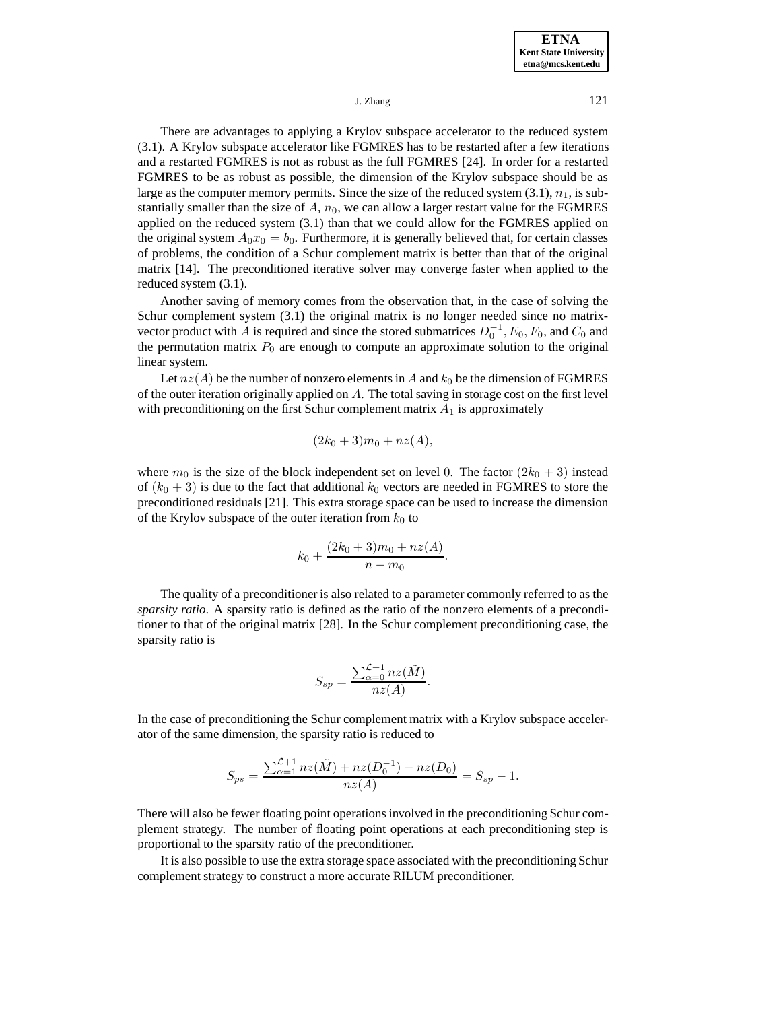There are advantages to applying a Krylov subspace accelerator to the reduced system (3.1). A Krylov subspace accelerator like FGMRES has to be restarted after a few iterations and a restarted FGMRES is not as robust as the full FGMRES [24]. In order for a restarted FGMRES to be as robust as possible, the dimension of the Krylov subspace should be as large as the computer memory permits. Since the size of the reduced system  $(3.1)$ ,  $n_1$ , is substantially smaller than the size of  $A$ ,  $n_0$ , we can allow a larger restart value for the FGMRES applied on the reduced system (3.1) than that we could allow for the FGMRES applied on the original system  $A_0x_0 = b_0$ . Furthermore, it is generally believed that, for certain classes of problems, the condition of a Schur complement matrix is better than that of the original matrix [14]. The preconditioned iterative solver may converge faster when applied to the reduced system (3.1).

Another saving of memory comes from the observation that, in the case of solving the Schur complement system  $(3.1)$  the original matrix is no longer needed since no matrixvector product with A is required and since the stored submatrices  $D_0^{-1}$ ,  $E_0$ ,  $F_0$ , and  $C_0$  and the permutation matrix  $P_0$  are enough to compute an approximate solution to the original linear system.

Let  $nz(A)$  be the number of nonzero elements in A and  $k_0$  be the dimension of FGMRES of the outer iteration originally applied on  $A$ . The total saving in storage cost on the first level with preconditioning on the first Schur complement matrix  $A_1$  is approximately

$$
(2k_0+3)m_0+nz(A),
$$

where  $m_0$  is the size of the block independent set on level 0. The factor  $(2k_0 + 3)$  instead of  $(k_0 + 3)$  is due to the fact that additional  $k_0$  vectors are needed in FGMRES to store the preconditioned residuals [21]. This extra storage space can be used to increase the dimension of the Krylov subspace of the outer iteration from  $k_0$  to

$$
k_0 + \frac{(2k_0 + 3)m_0 + nz(A)}{n - m_0}.
$$

The quality of a preconditioner is also related to a parameter commonly referred to as the *sparsity ratio*. A sparsity ratio is defined as the ratio of the nonzero elements of a preconditioner to that of the original matrix [28]. In the Schur complement preconditioning case, the sparsity ratio is

$$
S_{sp} = \frac{\sum_{\alpha=0}^{\mathcal{L}+1} nz(\tilde{M})}{nz(A)}.
$$

In the case of preconditioning the Schur complement matrix with a Krylov subspace accelerator of the same dimension, the sparsity ratio is reduced to

$$
S_{ps} = \frac{\sum_{\alpha=1}^{\mathcal{L}+1} n z(\tilde{M}) + n z(D_0^{-1}) - n z(D_0)}{n z(A)} = S_{sp} - 1.
$$

There will also be fewer floating point operations involved in the preconditioning Schur complement strategy. The number of floating point operations at each preconditioning step is proportional to the sparsity ratio of the preconditioner.

It is also possible to use the extra storage space associated with the preconditioning Schur complement strategy to construct a more accurate RILUM preconditioner.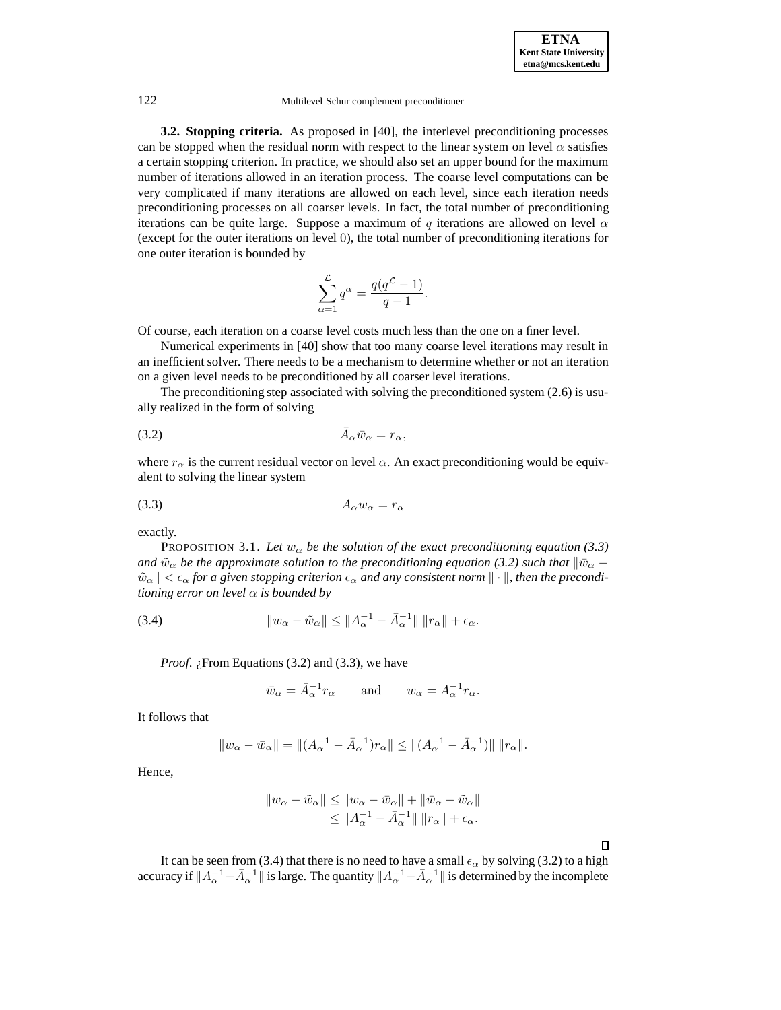**3.2. Stopping criteria.** As proposed in [40], the interlevel preconditioning processes can be stopped when the residual norm with respect to the linear system on level  $\alpha$  satisfies a certain stopping criterion. In practice, we should also set an upper bound for the maximum number of iterations allowed in an iteration process. The coarse level computations can be very complicated if many iterations are allowed on each level, since each iteration needs preconditioning processes on all coarser levels. In fact, the total number of preconditioning iterations can be quite large. Suppose a maximum of q iterations are allowed on level  $\alpha$ (except for the outer iterations on level 0), the total number of preconditioning iterations for one outer iteration is bounded by

$$
\sum_{\alpha=1}^{\mathcal{L}} q^{\alpha} = \frac{q(q^{\mathcal{L}}-1)}{q-1}.
$$

Of course, each iteration on a coarse level costs much less than the one on a finer level.

Numerical experiments in [40] show that too many coarse level iterations may result in an inefficient solver. There needs to be a mechanism to determine whether or not an iteration on a given level needs to be preconditioned by all coarser level iterations.

The preconditioning step associated with solving the preconditioned system (2.6) is usually realized in the form of solving

$$
\bar{A}_{\alpha}\bar{w}_{\alpha} = r_{\alpha},
$$

where  $r_{\alpha}$  is the current residual vector on level  $\alpha$ . An exact preconditioning would be equivalent to solving the linear system

$$
(3.3) \t\t A_{\alpha}w_{\alpha} = r_{\alpha}
$$

exactly.

PROPOSITION 3.1. Let  $w_{\alpha}$  be the solution of the exact preconditioning equation (3.3) *and*  $\tilde{w}_{\alpha}$  *be the approximate solution to the preconditioning equation (3.2) such that*  $\|\bar{w}_{\alpha} \tilde{w}_\alpha \leq \epsilon_\alpha$  for a given stopping criterion  $\epsilon_\alpha$  and any consistent norm  $\|\cdot\|$ , then the precondi*tioning error on level* α *is bounded by*

(3.4) 
$$
||w_{\alpha} - \tilde{w}_{\alpha}|| \le ||A_{\alpha}^{-1} - \bar{A}_{\alpha}^{-1}|| \, ||r_{\alpha}|| + \epsilon_{\alpha}.
$$

*Proof. i*. From Equations (3.2) and (3.3), we have

$$
\bar{w}_{\alpha} = \bar{A}_{\alpha}^{-1} r_{\alpha}
$$
 and  $w_{\alpha} = A_{\alpha}^{-1} r_{\alpha}$ .

It follows that

$$
\|w_{\alpha}-\bar{w}_{\alpha}\|=\|(A_{\alpha}^{-1}-\bar{A}_{\alpha}^{-1})r_{\alpha}\|\leq \|(A_{\alpha}^{-1}-\bar{A}_{\alpha}^{-1})\|\,\|r_{\alpha}\|.
$$

Hence,

$$
||w_{\alpha}-\tilde{w}_{\alpha}|| \leq ||w_{\alpha}-\bar{w}_{\alpha}|| + ||\bar{w}_{\alpha}-\tilde{w}_{\alpha}||
$$
  

$$
\leq ||A_{\alpha}^{-1}-\bar{A}_{\alpha}^{-1}|| ||r_{\alpha}|| + \epsilon_{\alpha}.
$$

 $\Box$ 

It can be seen from (3.4) that there is no need to have a small  $\epsilon_{\alpha}$  by solving (3.2) to a high accuracy if  $||A_\alpha^{-1} - \bar{A}_\alpha^{-1}||$  is large. The quantity  $||A_\alpha^{-1} - \bar{A}_\alpha^{-1}||$  is determined by the incomplete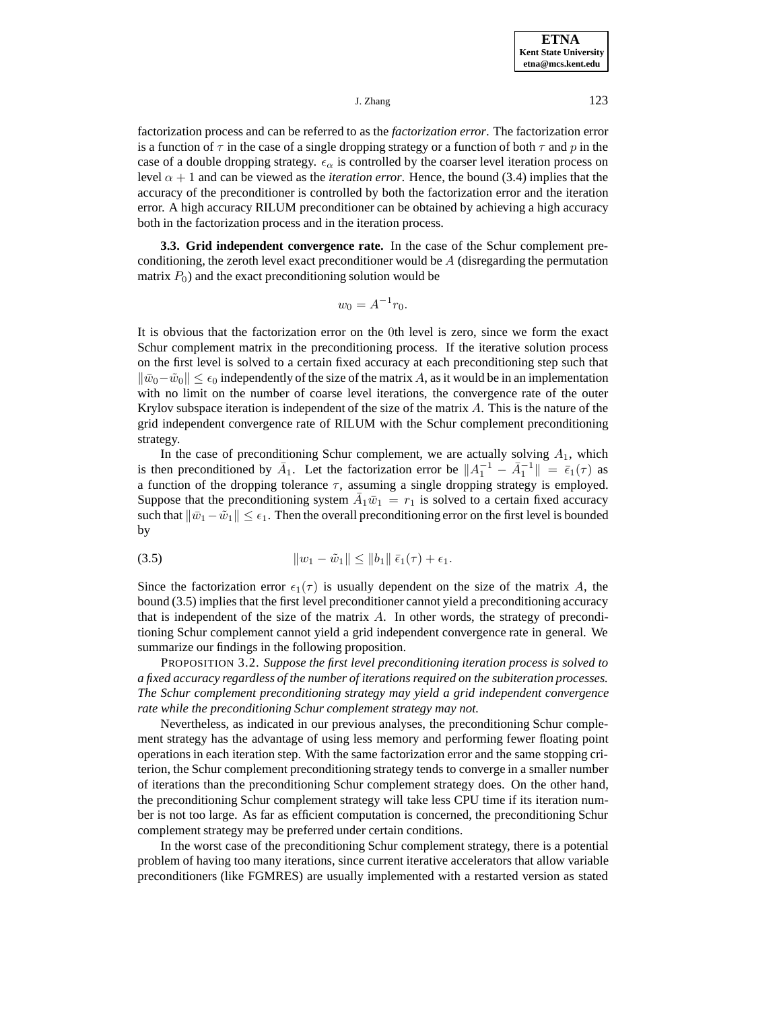factorization process and can be referred to as the *factorization error*. The factorization error is a function of  $\tau$  in the case of a single dropping strategy or a function of both  $\tau$  and p in the case of a double dropping strategy.  $\epsilon_{\alpha}$  is controlled by the coarser level iteration process on level  $\alpha + 1$  and can be viewed as the *iteration error*. Hence, the bound (3.4) implies that the accuracy of the preconditioner is controlled by both the factorization error and the iteration error. A high accuracy RILUM preconditioner can be obtained by achieving a high accuracy both in the factorization process and in the iteration process.

**3.3. Grid independent convergence rate.** In the case of the Schur complement preconditioning, the zeroth level exact preconditioner would be  $A$  (disregarding the permutation matrix  $P_0$ ) and the exact preconditioning solution would be

$$
w_0 = A^{-1}r_0.
$$

It is obvious that the factorization error on the 0th level is zero, since we form the exact Schur complement matrix in the preconditioning process. If the iterative solution process on the first level is solved to a certain fixed accuracy at each preconditioning step such that  $\|\bar{w}_0-\tilde{w}_0\|\leq \epsilon_0$  independently of the size of the matrix A, as it would be in an implementation with no limit on the number of coarse level iterations, the convergence rate of the outer Krylov subspace iteration is independent of the size of the matrix  $A$ . This is the nature of the grid independent convergence rate of RILUM with the Schur complement preconditioning strategy.

In the case of preconditioning Schur complement, we are actually solving  $A_1$ , which is then preconditioned by  $\overline{A}_1$ . Let the factorization error be  $||A_1^{-1} - \overline{A}_1^{-1}|| = \overline{\epsilon}_1(\tau)$  as a function of the dropping tolerance  $\tau$ , assuming a single dropping strategy is employed. Suppose that the preconditioning system  $\bar{A}_1\bar{w}_1 = r_1$  is solved to a certain fixed accuracy such that  $\|\bar{w}_1-\tilde{w}_1\| \leq \epsilon_1$ . Then the overall preconditioning error on the first level is bounded by

(3.5) 
$$
||w_1 - \tilde{w}_1|| \le ||b_1|| \bar{\epsilon}_1(\tau) + \epsilon_1.
$$

Since the factorization error  $\epsilon_1(\tau)$  is usually dependent on the size of the matrix A, the bound (3.5) implies that the first level preconditioner cannot yield a preconditioning accuracy that is independent of the size of the matrix A. In other words, the strategy of preconditioning Schur complement cannot yield a grid independent convergence rate in general. We summarize our findings in the following proposition.

PROPOSITION 3.2. *Suppose the first level preconditioning iteration process is solved to a fixed accuracy regardless of the number of iterations required on the subiteration processes. The Schur complement preconditioning strategy may yield a grid independent convergence rate while the preconditioning Schur complement strategy may not.*

Nevertheless, as indicated in our previous analyses, the preconditioning Schur complement strategy has the advantage of using less memory and performing fewer floating point operations in each iteration step. With the same factorization error and the same stopping criterion, the Schur complement preconditioning strategy tends to converge in a smaller number of iterations than the preconditioning Schur complement strategy does. On the other hand, the preconditioning Schur complement strategy will take less CPU time if its iteration number is not too large. As far as efficient computation is concerned, the preconditioning Schur complement strategy may be preferred under certain conditions.

In the worst case of the preconditioning Schur complement strategy, there is a potential problem of having too many iterations, since current iterative accelerators that allow variable preconditioners (like FGMRES) are usually implemented with a restarted version as stated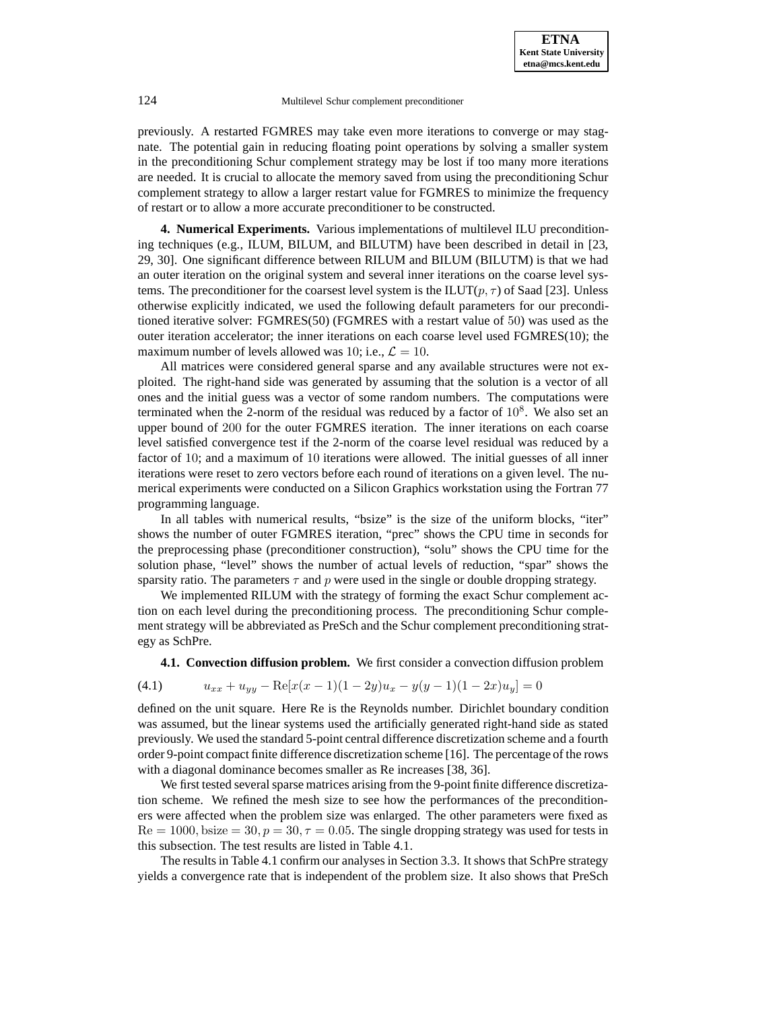previously. A restarted FGMRES may take even more iterations to converge or may stagnate. The potential gain in reducing floating point operations by solving a smaller system in the preconditioning Schur complement strategy may be lost if too many more iterations are needed. It is crucial to allocate the memory saved from using the preconditioning Schur complement strategy to allow a larger restart value for FGMRES to minimize the frequency of restart or to allow a more accurate preconditioner to be constructed.

**4. Numerical Experiments.** Various implementations of multilevel ILU preconditioning techniques (e.g., ILUM, BILUM, and BILUTM) have been described in detail in [23, 29, 30]. One significant difference between RILUM and BILUM (BILUTM) is that we had an outer iteration on the original system and several inner iterations on the coarse level systems. The preconditioner for the coarsest level system is the ILUT $(p, \tau)$  of Saad [23]. Unless otherwise explicitly indicated, we used the following default parameters for our preconditioned iterative solver: FGMRES(50) (FGMRES with a restart value of 50) was used as the outer iteration accelerator; the inner iterations on each coarse level used FGMRES(10); the maximum number of levels allowed was 10; i.e.,  $\mathcal{L} = 10$ .

All matrices were considered general sparse and any available structures were not exploited. The right-hand side was generated by assuming that the solution is a vector of all ones and the initial guess was a vector of some random numbers. The computations were terminated when the 2-norm of the residual was reduced by a factor of  $10^8$ . We also set an upper bound of 200 for the outer FGMRES iteration. The inner iterations on each coarse level satisfied convergence test if the 2-norm of the coarse level residual was reduced by a factor of 10; and a maximum of 10 iterations were allowed. The initial guesses of all inner iterations were reset to zero vectors before each round of iterations on a given level. The numerical experiments were conducted on a Silicon Graphics workstation using the Fortran 77 programming language.

In all tables with numerical results, "bsize" is the size of the uniform blocks, "iter" shows the number of outer FGMRES iteration, "prec" shows the CPU time in seconds for the preprocessing phase (preconditioner construction), "solu" shows the CPU time for the solution phase, "level" shows the number of actual levels of reduction, "spar" shows the sparsity ratio. The parameters  $\tau$  and p were used in the single or double dropping strategy.

We implemented RILUM with the strategy of forming the exact Schur complement action on each level during the preconditioning process. The preconditioning Schur complement strategy will be abbreviated as PreSch and the Schur complement preconditioning strategy as SchPre.

**4.1. Convection diffusion problem.** We first consider a convection diffusion problem

$$
(4.1) \t u_{xx} + u_{yy} - \text{Re}[x(x-1)(1-2y)u_x - y(y-1)(1-2x)u_y] = 0
$$

defined on the unit square. Here Re is the Reynolds number. Dirichlet boundary condition was assumed, but the linear systems used the artificially generated right-hand side as stated previously. We used the standard 5-point central difference discretization scheme and a fourth order 9-point compact finite difference discretization scheme [16]. The percentage of the rows with a diagonal dominance becomes smaller as Re increases [38, 36].

We first tested several sparse matrices arising from the 9-point finite difference discretization scheme. We refined the mesh size to see how the performances of the preconditioners were affected when the problem size was enlarged. The other parameters were fixed as  $Re = 1000$ , bsize  $= 30$ ,  $p = 30$ ,  $\tau = 0.05$ . The single dropping strategy was used for tests in this subsection. The test results are listed in Table 4.1.

The results in Table 4.1 confirm our analyses in Section 3.3. It shows that SchPre strategy yields a convergence rate that is independent of the problem size. It also shows that PreSch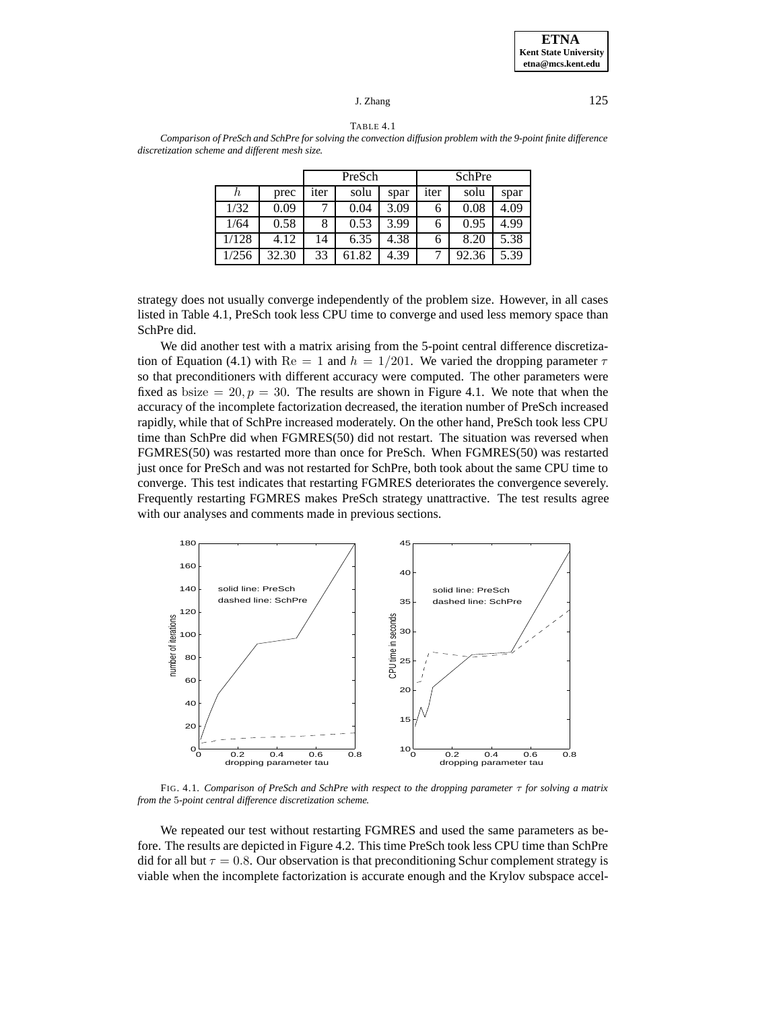TABLE 4.1

*Comparison of PreSch and SchPre for solving the convection diffusion problem with the 9-point finite difference discretization scheme and different mesh size.*

|       |       |      | PreSch |      | <b>SchPre</b> |       |      |  |
|-------|-------|------|--------|------|---------------|-------|------|--|
| h     | prec  | iter | solu   | spar | iter          | solu  | spar |  |
| 1/32  | 0.09  |      | 0.04   | 3.09 |               | 0.08  | 4.09 |  |
| 1/64  | 0.58  | 8    | 0.53   | 3.99 |               | 0.95  | 4.99 |  |
| 1/128 | 4.12  | 14   | 6.35   | 4.38 |               | 8.20  | 5.38 |  |
| 1/256 | 32.30 | 33   | 61.82  | 4.39 |               | 92.36 | 5.39 |  |

strategy does not usually converge independently of the problem size. However, in all cases listed in Table 4.1, PreSch took less CPU time to converge and used less memory space than SchPre did.

We did another test with a matrix arising from the 5-point central difference discretization of Equation (4.1) with Re = 1 and  $h = 1/201$ . We varied the dropping parameter  $\tau$ so that preconditioners with different accuracy were computed. The other parameters were fixed as bsize =  $20, p = 30$ . The results are shown in Figure 4.1. We note that when the accuracy of the incomplete factorization decreased, the iteration number of PreSch increased rapidly, while that of SchPre increased moderately. On the other hand, PreSch took less CPU time than SchPre did when FGMRES(50) did not restart. The situation was reversed when FGMRES(50) was restarted more than once for PreSch. When FGMRES(50) was restarted just once for PreSch and was not restarted for SchPre, both took about the same CPU time to converge. This test indicates that restarting FGMRES deteriorates the convergence severely. Frequently restarting FGMRES makes PreSch strategy unattractive. The test results agree with our analyses and comments made in previous sections.



FIG. 4.1. *Comparison of PreSch and SchPre with respect to the dropping parameter* τ *for solving a matrix from the* 5*-point central difference discretization scheme.*

We repeated our test without restarting FGMRES and used the same parameters as before. The results are depicted in Figure 4.2. This time PreSch took less CPU time than SchPre did for all but  $\tau = 0.8$ . Our observation is that preconditioning Schur complement strategy is viable when the incomplete factorization is accurate enough and the Krylov subspace accel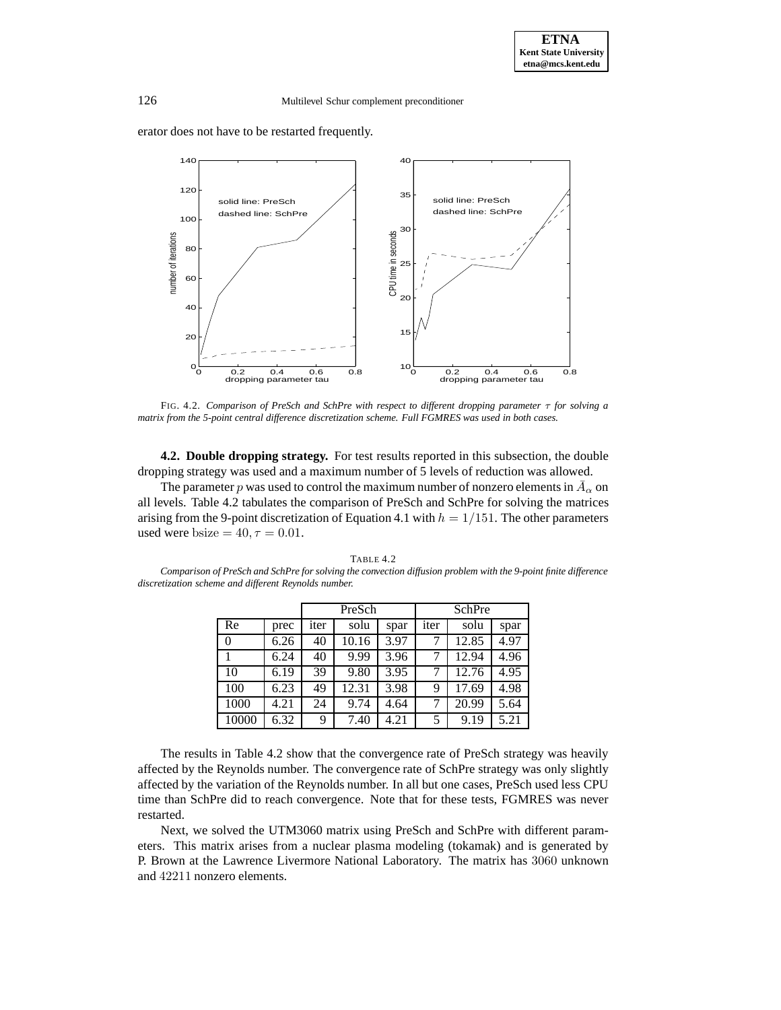erator does not have to be restarted frequently.

*discretization scheme and different Reynolds number.*



FIG. 4.2. *Comparison of PreSch and SchPre with respect to different dropping parameter* τ *for solving a matrix from the 5-point central difference discretization scheme. Full FGMRES was used in both cases.*

**4.2. Double dropping strategy.** For test results reported in this subsection, the double dropping strategy was used and a maximum number of 5 levels of reduction was allowed.

The parameter p was used to control the maximum number of nonzero elements in  $\bar{A}_{\alpha}$  on all levels. Table 4.2 tabulates the comparison of PreSch and SchPre for solving the matrices arising from the 9-point discretization of Equation 4.1 with  $h = 1/151$ . The other parameters used were bsize =  $40, \tau = 0.01$ .

|       |      |      | PreSch |      | SchPre |       |      |  |
|-------|------|------|--------|------|--------|-------|------|--|
| Re    | prec | iter | solu   | spar | iter   | solu  | spar |  |
| 0     | 6.26 | 40   | 10.16  | 3.97 |        | 12.85 | 4.97 |  |
|       | 6.24 | 40   | 9.99   | 3.96 |        | 12.94 | 4.96 |  |
| 10    | 6.19 | 39   | 9.80   | 3.95 | 7      | 12.76 | 4.95 |  |
| 100   | 6.23 | 49   | 12.31  | 3.98 | 9      | 17.69 | 4.98 |  |
| 1000  | 4.21 | 24   | 9.74   | 4.64 |        | 20.99 | 5.64 |  |
| 10000 | 6.32 | 9    | 7.40   | 4.21 | 5      | 9.19  | 5.21 |  |

TABLE 4.2 *Comparison of PreSch and SchPre for solving the convection diffusion problem with the 9-point finite difference*

The results in Table 4.2 show that the convergence rate of PreSch strategy was heavily affected by the Reynolds number. The convergence rate of SchPre strategy was only slightly affected by the variation of the Reynolds number. In all but one cases, PreSch used less CPU time than SchPre did to reach convergence. Note that for these tests, FGMRES was never restarted.

Next, we solved the UTM3060 matrix using PreSch and SchPre with different parameters. This matrix arises from a nuclear plasma modeling (tokamak) and is generated by P. Brown at the Lawrence Livermore National Laboratory. The matrix has 3060 unknown and 42211 nonzero elements.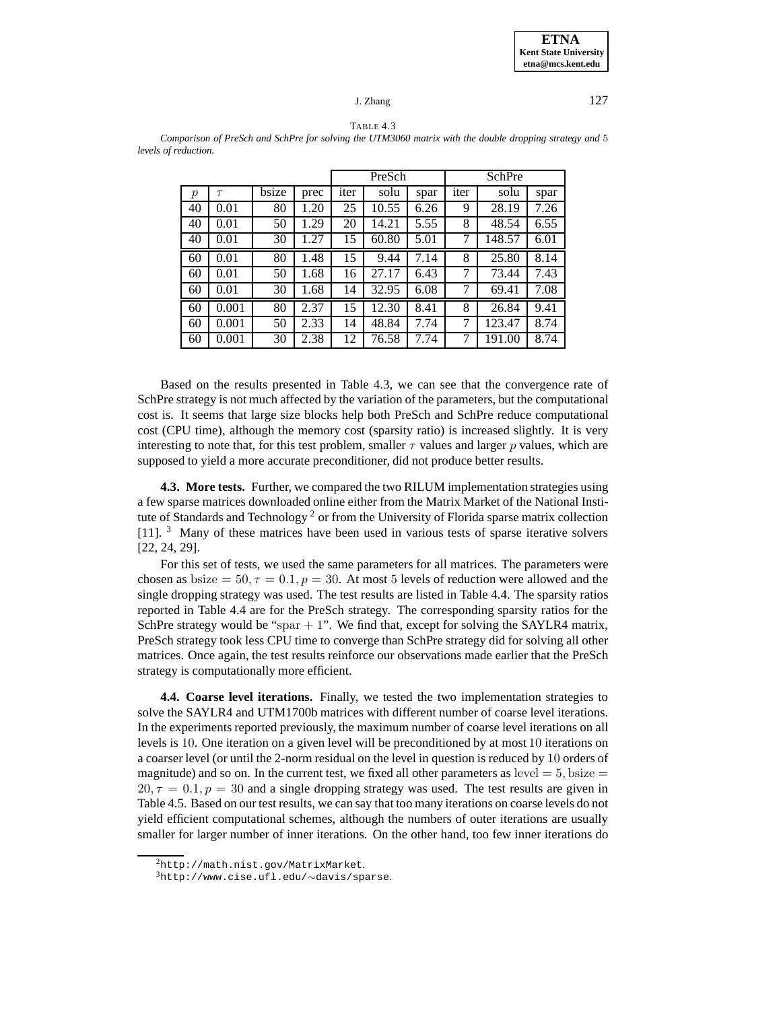

TABLE 4.3 *Comparison of PreSch and SchPre for solving the UTM3060 matrix with the double dropping strategy and* 5 *levels of reduction.*

|                |        |       |      | PreSch |       |      | SchPre |        |      |  |
|----------------|--------|-------|------|--------|-------|------|--------|--------|------|--|
| $\mathfrak{p}$ | $\tau$ | bsize | prec | iter   | solu  | spar | iter   | solu   | spar |  |
| 40             | 0.01   | 80    | 1.20 | 25     | 10.55 | 6.26 | 9      | 28.19  | 7.26 |  |
| 40             | 0.01   | 50    | 1.29 | 20     | 14.21 | 5.55 | 8      | 48.54  | 6.55 |  |
| 40             | 0.01   | 30    | 1.27 | 15     | 60.80 | 5.01 | 7      | 148.57 | 6.01 |  |
| 60             | 0.01   | 80    | 1.48 | 15     | 9.44  | 7.14 | 8      | 25.80  | 8.14 |  |
| 60             | 0.01   | 50    | 1.68 | 16     | 27.17 | 6.43 | 7      | 73.44  | 7.43 |  |
| 60             | 0.01   | 30    | 1.68 | 14     | 32.95 | 6.08 | 7      | 69.41  | 7.08 |  |
| 60             | 0.001  | 80    | 2.37 | 15     | 12.30 | 8.41 | 8      | 26.84  | 9.41 |  |
| 60             | 0.001  | 50    | 2.33 | 14     | 48.84 | 7.74 | 7      | 123.47 | 8.74 |  |
| 60             | 0.001  | 30    | 2.38 | 12     | 76.58 | 7.74 | 7      | 191.00 | 8.74 |  |

Based on the results presented in Table 4.3, we can see that the convergence rate of SchPre strategy is not much affected by the variation of the parameters, but the computational cost is. It seems that large size blocks help both PreSch and SchPre reduce computational cost (CPU time), although the memory cost (sparsity ratio) is increased slightly. It is very interesting to note that, for this test problem, smaller  $\tau$  values and larger p values, which are supposed to yield a more accurate preconditioner, did not produce better results.

**4.3. More tests.** Further, we compared the two RILUM implementation strategies using a few sparse matrices downloaded online either from the Matrix Market of the National Institute of Standards and Technology<sup>2</sup> or from the University of Florida sparse matrix collection [11]. <sup>3</sup> Many of these matrices have been used in various tests of sparse iterative solvers [22, 24, 29].

For this set of tests, we used the same parameters for all matrices. The parameters were chosen as bsize  $= 50, \tau = 0.1, p = 30$ . At most 5 levels of reduction were allowed and the single dropping strategy was used. The test results are listed in Table 4.4. The sparsity ratios reported in Table 4.4 are for the PreSch strategy. The corresponding sparsity ratios for the SchPre strategy would be "spar  $+1$ ". We find that, except for solving the SAYLR4 matrix, PreSch strategy took less CPU time to converge than SchPre strategy did for solving all other matrices. Once again, the test results reinforce our observations made earlier that the PreSch strategy is computationally more efficient.

**4.4. Coarse level iterations.** Finally, we tested the two implementation strategies to solve the SAYLR4 and UTM1700b matrices with different number of coarse level iterations. In the experiments reported previously, the maximum number of coarse level iterations on all levels is 10. One iteration on a given level will be preconditioned by at most 10 iterations on a coarser level (or until the 2-norm residual on the level in question is reduced by 10 orders of magnitude) and so on. In the current test, we fixed all other parameters as level  $= 5$ , bsize  $=$  $20, \tau = 0.1, p = 30$  and a single dropping strategy was used. The test results are given in Table 4.5. Based on our test results, we can say that too many iterations on coarse levels do not yield efficient computational schemes, although the numbers of outer iterations are usually smaller for larger number of inner iterations. On the other hand, too few inner iterations do

<sup>2</sup>http://math.nist.gov/MatrixMarket.

<sup>3</sup>http://www.cise.ufl.edu/∼davis/sparse.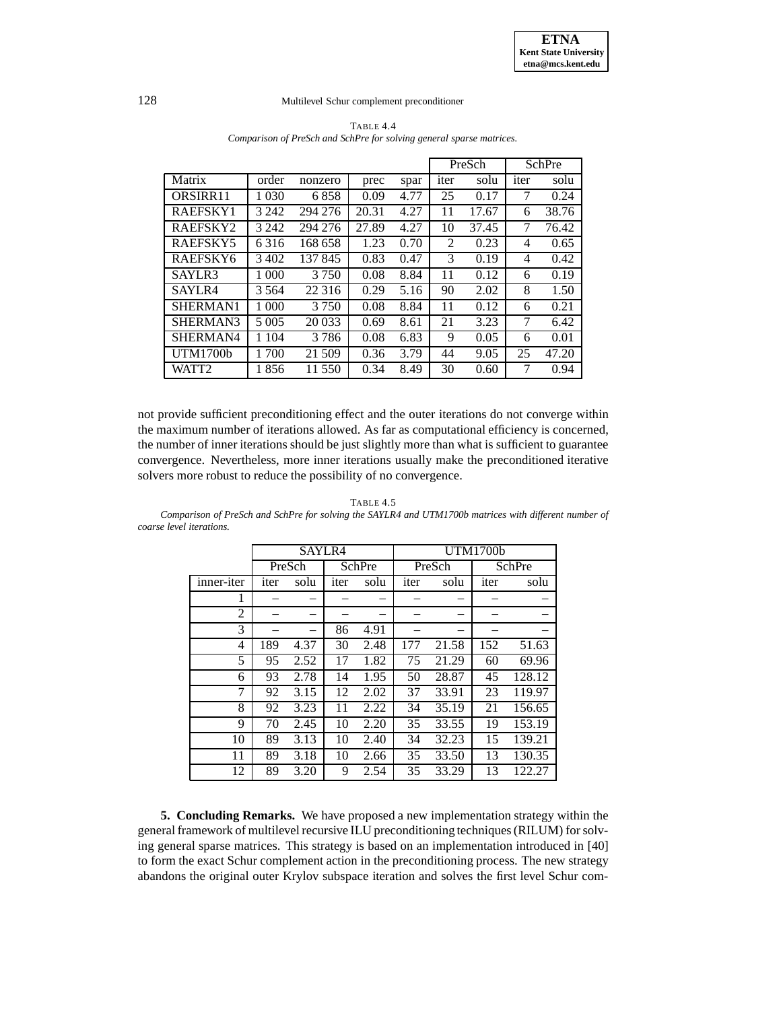|                 |         |         | PreSch |      |                | SchPre |      |       |
|-----------------|---------|---------|--------|------|----------------|--------|------|-------|
| Matrix          | order   | nonzero | prec   | spar | iter           | solu   | iter | solu  |
| ORSIRR11        | 1 0 3 0 | 6858    | 0.09   | 4.77 | 25             | 0.17   | 7    | 0.24  |
| RAEFSKY1        | 3 2 4 2 | 294 276 | 20.31  | 4.27 | 11             | 17.67  | 6    | 38.76 |
| RAEFSKY2        | 3 2 4 2 | 294 276 | 27.89  | 4.27 | 10             | 37.45  | 7    | 76.42 |
| RAEFSKY5        | 6316    | 168 658 | 1.23   | 0.70 | $\mathfrak{D}$ | 0.23   | 4    | 0.65  |
| RAEFSKY6        | 3402    | 137845  | 0.83   | 0.47 | 3              | 0.19   | 4    | 0.42  |
| SAYLR3          | 1 0 0 0 | 3 7 5 0 | 0.08   | 8.84 | 11             | 0.12   | 6    | 0.19  |
| SAYLR4          | 3 5 6 4 | 22 3 16 | 0.29   | 5.16 | 90             | 2.02   | 8    | 1.50  |
| SHERMAN1        | 1 000   | 3 7 5 0 | 0.08   | 8.84 | 11             | 0.12   | 6    | 0.21  |
| SHERMAN3        | 5 0 0 5 | 20 033  | 0.69   | 8.61 | 21             | 3.23   | 7    | 6.42  |
| SHERMAN4        | 1 1 0 4 | 3786    | 0.08   | 6.83 | 9              | 0.05   | 6    | 0.01  |
| <b>UTM1700b</b> | 1 700   | 21 509  | 0.36   | 3.79 | 44             | 9.05   | 25   | 47.20 |
| WATT2           | 1 856   | 11 550  | 0.34   | 8.49 | 30             | 0.60   |      | 0.94  |

TABLE 4.4 *Comparison of PreSch and SchPre for solving general sparse matrices.*

not provide sufficient preconditioning effect and the outer iterations do not converge within the maximum number of iterations allowed. As far as computational efficiency is concerned, the number of inner iterations should be just slightly more than what is sufficient to guarantee convergence. Nevertheless, more inner iterations usually make the preconditioned iterative solvers more robust to reduce the possibility of no convergence.

TABLE 4.5

*Comparison of PreSch and SchPre for solving the SAYLR4 and UTM1700b matrices with different number of coarse level iterations.*

|                | SAYLR4 |      |        |      | UTM1700b |        |        |        |  |  |
|----------------|--------|------|--------|------|----------|--------|--------|--------|--|--|
|                | PreSch |      | SchPre |      |          | PreSch | SchPre |        |  |  |
| inner-iter     | iter   | solu | iter   | solu | iter     | solu   | iter   | solu   |  |  |
| 1              |        |      |        |      |          |        |        |        |  |  |
| $\overline{c}$ |        |      |        |      |          |        |        |        |  |  |
| 3              |        |      | 86     | 4.91 |          |        |        |        |  |  |
| 4              | 189    | 4.37 | 30     | 2.48 | 177      | 21.58  | 152    | 51.63  |  |  |
| 5              | 95     | 2.52 | 17     | 1.82 | 75       | 21.29  | 60     | 69.96  |  |  |
| 6              | 93     | 2.78 | 14     | 1.95 | 50       | 28.87  | 45     | 128.12 |  |  |
| 7              | 92     | 3.15 | 12     | 2.02 | 37       | 33.91  | 23     | 119.97 |  |  |
| 8              | 92     | 3.23 | 11     | 2.22 | 34       | 35.19  | 21     | 156.65 |  |  |
| 9              | 70     | 2.45 | 10     | 2.20 | 35       | 33.55  | 19     | 153.19 |  |  |
| 10             | 89     | 3.13 | 10     | 2.40 | 34       | 32.23  | 15     | 139.21 |  |  |
| 11             | 89     | 3.18 | 10     | 2.66 | 35       | 33.50  | 13     | 130.35 |  |  |
| 12             | 89     | 3.20 | 9      | 2.54 | 35       | 33.29  | 13     | 122.27 |  |  |

**5. Concluding Remarks.** We have proposed a new implementation strategy within the general framework of multilevel recursive ILU preconditioning techniques (RILUM) for solving general sparse matrices. This strategy is based on an implementation introduced in [40] to form the exact Schur complement action in the preconditioning process. The new strategy abandons the original outer Krylov subspace iteration and solves the first level Schur com-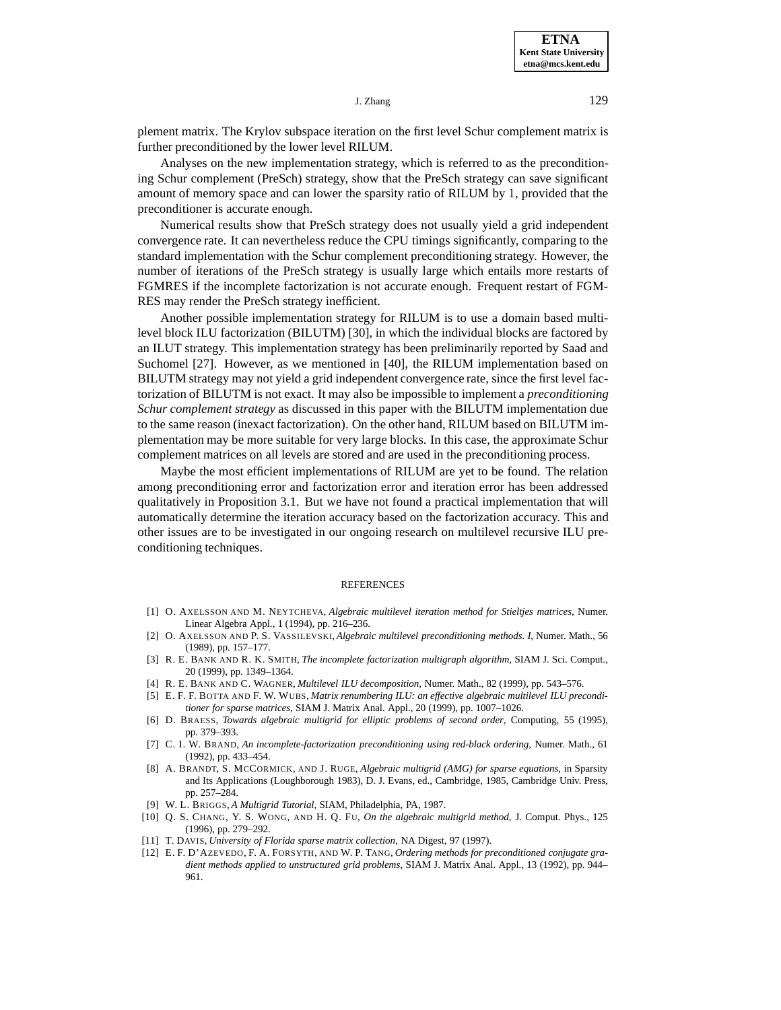**ETNA Kent State University etna@mcs.kent.edu**

 $J. Zhang$   $129$ 

plement matrix. The Krylov subspace iteration on the first level Schur complement matrix is further preconditioned by the lower level RILUM.

Analyses on the new implementation strategy, which is referred to as the preconditioning Schur complement (PreSch) strategy, show that the PreSch strategy can save significant amount of memory space and can lower the sparsity ratio of RILUM by 1, provided that the preconditioner is accurate enough.

Numerical results show that PreSch strategy does not usually yield a grid independent convergence rate. It can nevertheless reduce the CPU timings significantly, comparing to the standard implementation with the Schur complement preconditioning strategy. However, the number of iterations of the PreSch strategy is usually large which entails more restarts of FGMRES if the incomplete factorization is not accurate enough. Frequent restart of FGM-RES may render the PreSch strategy inefficient.

Another possible implementation strategy for RILUM is to use a domain based multilevel block ILU factorization (BILUTM) [30], in which the individual blocks are factored by an ILUT strategy. This implementation strategy has been preliminarily reported by Saad and Suchomel [27]. However, as we mentioned in [40], the RILUM implementation based on BILUTM strategy may not yield a grid independent convergence rate, since the first level factorization of BILUTM is not exact. It may also be impossible to implement a *preconditioning Schur complement strategy* as discussed in this paper with the BILUTM implementation due to the same reason (inexact factorization). On the other hand, RILUM based on BILUTM implementation may be more suitable for very large blocks. In this case, the approximate Schur complement matrices on all levels are stored and are used in the preconditioning process.

Maybe the most efficient implementations of RILUM are yet to be found. The relation among preconditioning error and factorization error and iteration error has been addressed qualitatively in Proposition 3.1. But we have not found a practical implementation that will automatically determine the iteration accuracy based on the factorization accuracy. This and other issues are to be investigated in our ongoing research on multilevel recursive ILU preconditioning techniques.

#### REFERENCES

- [1] O. AXELSSON AND M. NEYTCHEVA, *Algebraic multilevel iteration method for Stieltjes matrices*, Numer. Linear Algebra Appl., 1 (1994), pp. 216–236.
- [2] O. AXELSSON AND P. S. VASSILEVSKI, *Algebraic multilevel preconditioning methods. I*, Numer. Math., 56 (1989), pp. 157–177.
- [3] R. E. BANK AND R. K. SMITH, *The incomplete factorization multigraph algorithm*, SIAM J. Sci. Comput., 20 (1999), pp. 1349–1364.
- [4] R. E. BANK AND C. WAGNER, *Multilevel ILU decomposition*, Numer. Math., 82 (1999), pp. 543–576.
- [5] E. F. F. BOTTA AND F. W. WUBS, *Matrix renumbering ILU: an effective algebraic multilevel ILU preconditioner for sparse matrices*, SIAM J. Matrix Anal. Appl., 20 (1999), pp. 1007–1026.
- [6] D. BRAESS, *Towards algebraic multigrid for elliptic problems of second order*, Computing, 55 (1995), pp. 379–393.
- [7] C. I. W. BRAND, *An incomplete-factorization preconditioning using red-black ordering*, Numer. Math., 61 (1992), pp. 433–454.
- [8] A. BRANDT, S. MCCORMICK, AND J. RUGE, *Algebraic multigrid (AMG) for sparse equations*, in Sparsity and Its Applications (Loughborough 1983), D. J. Evans, ed., Cambridge, 1985, Cambridge Univ. Press, pp. 257–284.
- [9] W. L. BRIGGS, *A Multigrid Tutorial*, SIAM, Philadelphia, PA, 1987.
- [10] Q. S. CHANG, Y. S. WONG, AND H. Q. FU, *On the algebraic multigrid method*, J. Comput. Phys., 125 (1996), pp. 279–292.
- [11] T. DAVIS, *University of Florida sparse matrix collection*, NA Digest, 97 (1997).
- [12] E. F. D'AZEVEDO, F. A. FORSYTH, AND W. P. TANG, *Ordering methods for preconditioned conjugate gradient methods applied to unstructured grid problems*, SIAM J. Matrix Anal. Appl., 13 (1992), pp. 944– 961.